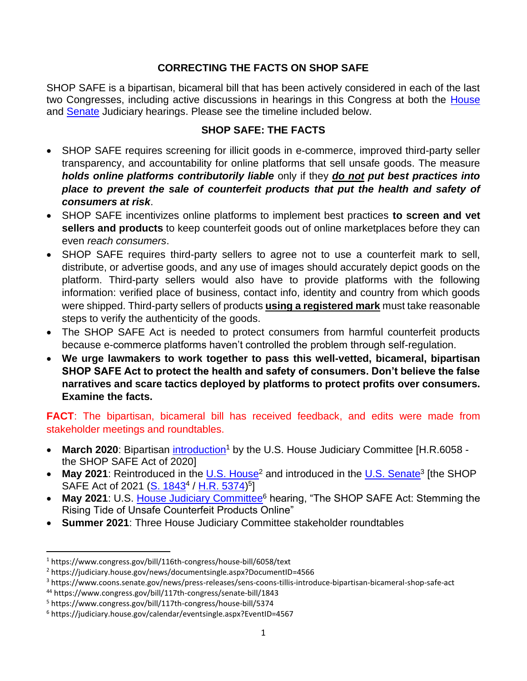## **CORRECTING THE FACTS ON SHOP SAFE**

SHOP SAFE is a bipartisan, bicameral bill that has been actively considered in each of the last two Congresses, including active discussions in hearings in this Congress at both the [House](https://nam10.safelinks.protection.outlook.com/?url=https%3A%2F%2Flinkprotect.cudasvc.com%2Furl%3Fa%3Dhttps%253a%252f%252furldefense.proofpoint.com%252fv2%252furl%253fu%253dhttps-3A__judiciary.house.gov_calendar_eventsingle.aspx-3FEventID-3D4567%2526d%253dDwMFAw%2526c%253deuGZstcaTDllvimEN8b7jXrwqOf-v5A_CdpgnVfiiMM%2526r%253db6HclLP7MkxtsskcH0PL9MmxGgqPBhKHm4GNndz5HGw%2526m%253ddn7hlxToiMPAFt6b2YSSSXcxgGRxwpGMOlOkM2ee4OU%2526s%253dscSBO1L0DMIDBQnvcD176kqH02DRD84Xysu_D5iDVOo%2526e%253d%26c%3DE%2C1%2Cqbkg0yvDyjjMkUQk5_cQ4ljnaalw6_KxJB1PQ_DcYqMGp-T-8a_HjjQyUufsOtULY1YQg8UQdYGbSdC_Kc4MWzD9rYebecrGSg587Kc46jM31ZXeroc57Gf06Hom%26typo%3D1&data=05%7C01%7Cjscogginshanks%40aafaglobal.org%7Ccd940b2d1946437669f008da47c016d7%7C1368786b82c04477acf49ad602f0a2b2%7C0%7C0%7C637901187692508807%7CUnknown%7CTWFpbGZsb3d8eyJWIjoiMC4wLjAwMDAiLCJQIjoiV2luMzIiLCJBTiI6Ik1haWwiLCJXVCI6Mn0%3D%7C3000%7C%7C%7C&sdata=OX4%2F2SqIUqm3LEEkNJVjHuRHiHOtACJErAd1SYu8Wcc%3D&reserved=0) and [Senate](https://nam10.safelinks.protection.outlook.com/?url=https%3A%2F%2Fwww.judiciary.senate.gov%2Fmeetings%2Fcleaning-up-online-marketplaces-protecting-against-stolen-counterfeit-and-unsafe-goods&data=05%7C01%7Cjscogginshanks%40aafaglobal.org%7Ccd940b2d1946437669f008da47c016d7%7C1368786b82c04477acf49ad602f0a2b2%7C0%7C0%7C637901187692508807%7CUnknown%7CTWFpbGZsb3d8eyJWIjoiMC4wLjAwMDAiLCJQIjoiV2luMzIiLCJBTiI6Ik1haWwiLCJXVCI6Mn0%3D%7C3000%7C%7C%7C&sdata=RlitrIXw%2FL4QfuyuUg7pY%2FIbpu%2BAbe2V%2FlWfENbrU6Q%3D&reserved=0) Judiciary hearings. Please see the timeline included below.

## **SHOP SAFE: THE FACTS**

- SHOP SAFE requires screening for illicit goods in e-commerce, improved third-party seller transparency, and accountability for online platforms that sell unsafe goods. The measure *holds online platforms contributorily liable* only if they *do not put best practices into place to prevent the sale of counterfeit products that put the health and safety of consumers at risk*.
- SHOP SAFE incentivizes online platforms to implement best practices **to screen and vet sellers and products** to keep counterfeit goods out of online marketplaces before they can even *reach consumers*.
- SHOP SAFE requires third-party sellers to agree not to use a counterfeit mark to sell, distribute, or advertise goods, and any use of images should accurately depict goods on the platform. Third-party sellers would also have to provide platforms with the following information: verified place of business, contact info, identity and country from which goods were shipped. Third-party sellers of products **using a registered mark** must take reasonable steps to verify the authenticity of the goods.
- The SHOP SAFE Act is needed to protect consumers from harmful counterfeit products because e-commerce platforms haven't controlled the problem through self-regulation.
- **We urge lawmakers to work together to pass this well-vetted, bicameral, bipartisan SHOP SAFE Act to protect the health and safety of consumers. Don't believe the false narratives and scare tactics deployed by platforms to protect profits over consumers. Examine the facts.**

**FACT:** The bipartisan, bicameral bill has received feedback, and edits were made from stakeholder meetings and roundtables.

- March 2020: Bipartisan [introduction](https://www.congress.gov/bill/116th-congress/house-bill/6058/text)<sup>1</sup> by the U.S. House Judiciary Committee [H.R.6058 the SHOP SAFE Act of 2020]
- May 2021: Reintroduced in the [U.S. House](https://judiciary.house.gov/news/documentsingle.aspx?DocumentID=4566)<sup>2</sup> and introduced in the [U.S. Senate](https://www.coons.senate.gov/news/press-releases/sens-coons-tillis-introduce-bipartisan-bicameral-shop-safe-act)<sup>3</sup> [the SHOP SAFE Act of 2021 [\(S. 1843](https://www.congress.gov/bill/117th-congress/senate-bill/1843)<sup>4</sup> / [H.R. 5374\)](https://www.congress.gov/bill/117th-congress/house-bill/5374)<sup>5</sup>]
- May 2021: U.S. [House Judiciary Committee](https://judiciary.house.gov/calendar/eventsingle.aspx?EventID=4567)<sup>6</sup> hearing, "The SHOP SAFE Act: Stemming the Rising Tide of Unsafe Counterfeit Products Online"
- **Summer 2021**: Three House Judiciary Committee stakeholder roundtables

<sup>1</sup> https://www.congress.gov/bill/116th-congress/house-bill/6058/text

<sup>2</sup> https://judiciary.house.gov/news/documentsingle.aspx?DocumentID=4566

<sup>3</sup> https://www.coons.senate.gov/news/press-releases/sens-coons-tillis-introduce-bipartisan-bicameral-shop-safe-act

<sup>44</sup> https://www.congress.gov/bill/117th-congress/senate-bill/1843

<sup>5</sup> https://www.congress.gov/bill/117th-congress/house-bill/5374

<sup>6</sup> https://judiciary.house.gov/calendar/eventsingle.aspx?EventID=4567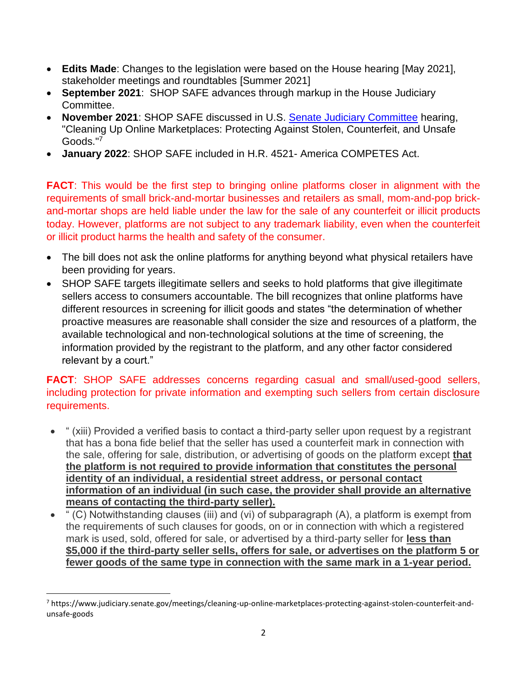- **Edits Made**: Changes to the legislation were based on the House hearing [May 2021], stakeholder meetings and roundtables [Summer 2021]
- **September 2021**: SHOP SAFE advances through markup in the House Judiciary Committee.
- **November 2021**: SHOP SAFE discussed in U.S. [Senate Judiciary Committee](https://www.judiciary.senate.gov/meetings/cleaning-up-online-marketplaces-protecting-against-stolen-counterfeit-and-unsafe-goods) hearing, "Cleaning Up Online Marketplaces: Protecting Against Stolen, Counterfeit, and Unsafe Goods." 7
- **January 2022**: SHOP SAFE included in H.R. 4521- America COMPETES Act.

**FACT:** This would be the first step to bringing online platforms closer in alignment with the requirements of small brick-and-mortar businesses and retailers as small, mom-and-pop brickand-mortar shops are held liable under the law for the sale of any counterfeit or illicit products today. However, platforms are not subject to any trademark liability, even when the counterfeit or illicit product harms the health and safety of the consumer.

- The bill does not ask the online platforms for anything beyond what physical retailers have been providing for years.
- SHOP SAFE targets illegitimate sellers and seeks to hold platforms that give illegitimate sellers access to consumers accountable. The bill recognizes that online platforms have different resources in screening for illicit goods and states "the determination of whether proactive measures are reasonable shall consider the size and resources of a platform, the available technological and non-technological solutions at the time of screening, the information provided by the registrant to the platform, and any other factor considered relevant by a court."

## **FACT**: SHOP SAFE addresses concerns regarding casual and small/used-good sellers, including protection for private information and exempting such sellers from certain disclosure requirements.

- " (xiii) Provided a verified basis to contact a third-party seller upon request by a registrant that has a bona fide belief that the seller has used a counterfeit mark in connection with the sale, offering for sale, distribution, or advertising of goods on the platform except **that the platform is not required to provide information that constitutes the personal identity of an individual, a residential street address, or personal contact information of an individual (in such case, the provider shall provide an alternative means of contacting the third-party seller).**
- " (C) Notwithstanding clauses (iii) and (vi) of subparagraph (A), a platform is exempt from the requirements of such clauses for goods, on or in connection with which a registered mark is used, sold, offered for sale, or advertised by a third-party seller for **less than \$5,000 if the third-party seller sells, offers for sale, or advertises on the platform 5 or fewer goods of the same type in connection with the same mark in a 1-year period.**

<sup>7</sup> https://www.judiciary.senate.gov/meetings/cleaning-up-online-marketplaces-protecting-against-stolen-counterfeit-andunsafe-goods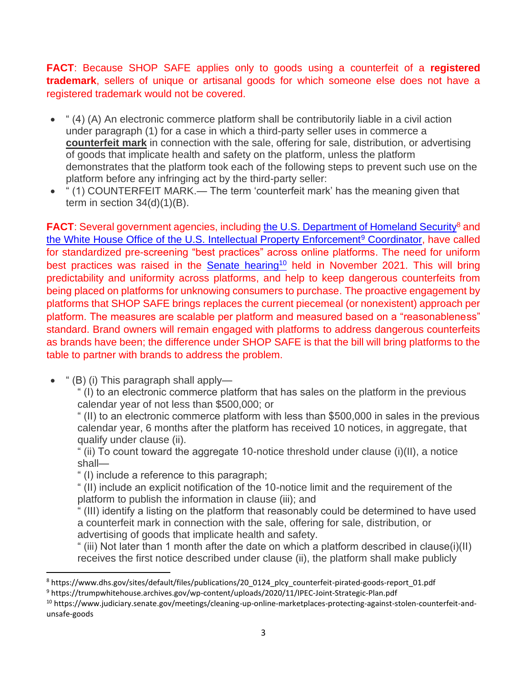**FACT**: Because SHOP SAFE applies only to goods using a counterfeit of a **registered trademark**, sellers of unique or artisanal goods for which someone else does not have a registered trademark would not be covered.

- " (4) (A) An electronic commerce platform shall be contributorily liable in a civil action under paragraph (1) for a case in which a third-party seller uses in commerce a **counterfeit mark** in connection with the sale, offering for sale, distribution, or advertising of goods that implicate health and safety on the platform, unless the platform demonstrates that the platform took each of the following steps to prevent such use on the platform before any infringing act by the third-party seller:
- " (1) COUNTERFEIT MARK.— The term 'counterfeit mark' has the meaning given that term in section  $34(d)(1)(B)$ .

**FACT:** Several government agencies, including [the U.S. Department of Homeland Security](https://www.dhs.gov/sites/default/files/publications/20_0124_plcy_counterfeit-pirated-goods-report_01.pdf)<sup>8</sup> and [the White House Office of the U.S. Intellectual Property Enforcement](https://trumpwhitehouse.archives.gov/wp-content/uploads/2020/11/IPEC-Joint-Strategic-Plan.pdf)<sup>9</sup> Coordinator, have called for standardized pre-screening "best practices" across online platforms. The need for uniform best practices was raised in the Senate [hearing](https://www.judiciary.senate.gov/meetings/cleaning-up-online-marketplaces-protecting-against-stolen-counterfeit-and-unsafe-goods)<sup>10</sup> held in November 2021. This will bring predictability and uniformity across platforms, and help to keep dangerous counterfeits from being placed on platforms for unknowing consumers to purchase. The proactive engagement by platforms that SHOP SAFE brings replaces the current piecemeal (or nonexistent) approach per platform. The measures are scalable per platform and measured based on a "reasonableness" standard. Brand owners will remain engaged with platforms to address dangerous counterfeits as brands have been; the difference under SHOP SAFE is that the bill will bring platforms to the table to partner with brands to address the problem.

 $^{\circ}$  (B) (i) This paragraph shall apply—

" (I) to an electronic commerce platform that has sales on the platform in the previous calendar year of not less than \$500,000; or

" (II) to an electronic commerce platform with less than \$500,000 in sales in the previous calendar year, 6 months after the platform has received 10 notices, in aggregate, that qualify under clause (ii).

" (ii) To count toward the aggregate 10-notice threshold under clause (i)(II), a notice shall—

" (I) include a reference to this paragraph;

" (II) include an explicit notification of the 10-notice limit and the requirement of the platform to publish the information in clause (iii); and

" (III) identify a listing on the platform that reasonably could be determined to have used a counterfeit mark in connection with the sale, offering for sale, distribution, or advertising of goods that implicate health and safety.

" (iii) Not later than 1 month after the date on which a platform described in clause(i)(II) receives the first notice described under clause (ii), the platform shall make publicly

<sup>10</sup> https://www.judiciary.senate.gov/meetings/cleaning-up-online-marketplaces-protecting-against-stolen-counterfeit-andunsafe-goods

<sup>8</sup> https://www.dhs.gov/sites/default/files/publications/20\_0124\_plcy\_counterfeit-pirated-goods-report\_01.pdf

<sup>9</sup> https://trumpwhitehouse.archives.gov/wp-content/uploads/2020/11/IPEC-Joint-Strategic-Plan.pdf